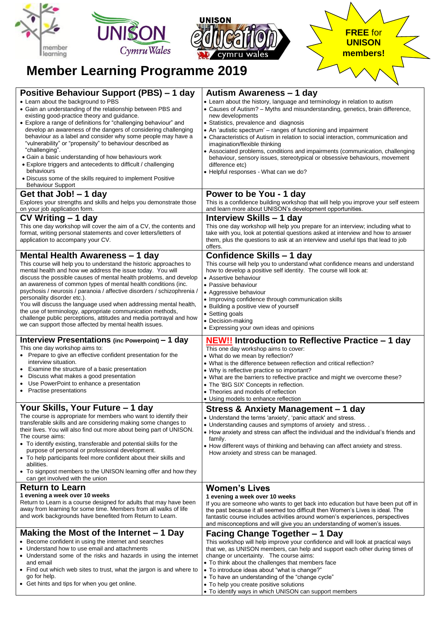

| Positive Behaviour Support (PBS) – 1 day<br>• Learn about the background to PBS<br>• Gain an understanding of the relationship between PBS and<br>existing good-practice theory and guidance.<br>• Explore a range of definitions for "challenging behaviour" and<br>develop an awareness of the dangers of considering challenging<br>behaviour as a label and consider why some people may have a<br>"vulnerability" or "propensity" to behaviour described as<br>"challenging".<br>• Gain a basic understanding of how behaviours work<br>• Explore triggers and antecedents to difficult / challenging<br>behaviours<br>• Discuss some of the skills required to implement Positive<br><b>Behaviour Support</b> | Autism Awareness – 1 day<br>• Learn about the history, language and terminology in relation to autism<br>• Causes of Autism? - Myths and misunderstanding, genetics, brain difference,<br>new developments<br>• Statistics, prevalence and diagnosis<br>• An 'autistic spectrum' – ranges of functioning and impairment<br>• Characteristics of Autism in relation to social interaction, communication and<br>imagination/flexible thinking<br>• Associated problems, conditions and impairments (communication, challenging<br>behaviour, sensory issues, stereotypical or obsessive behaviours, movement<br>difference etc)<br>• Helpful responses - What can we do? |
|---------------------------------------------------------------------------------------------------------------------------------------------------------------------------------------------------------------------------------------------------------------------------------------------------------------------------------------------------------------------------------------------------------------------------------------------------------------------------------------------------------------------------------------------------------------------------------------------------------------------------------------------------------------------------------------------------------------------|-------------------------------------------------------------------------------------------------------------------------------------------------------------------------------------------------------------------------------------------------------------------------------------------------------------------------------------------------------------------------------------------------------------------------------------------------------------------------------------------------------------------------------------------------------------------------------------------------------------------------------------------------------------------------|
| Get that Job! – 1 day<br>Explores your strengths and skills and helps you demonstrate those<br>on your job application form.                                                                                                                                                                                                                                                                                                                                                                                                                                                                                                                                                                                        | Power to be You - 1 day<br>This is a confidence building workshop that will help you improve your self esteem<br>and learn more about UNISON's development opportunities.                                                                                                                                                                                                                                                                                                                                                                                                                                                                                               |
| CV Writing – 1 day<br>This one day workshop will cover the aim of a CV, the contents and<br>format, writing personal statements and cover letters/letters of<br>application to accompany your CV.                                                                                                                                                                                                                                                                                                                                                                                                                                                                                                                   | Interview Skills - 1 day<br>This one day workshop will help you prepare for an interview; including what to<br>take with you, look at potential questions asked at interview and how to answer<br>them, plus the questions to ask at an interview and useful tips that lead to job<br>offers.                                                                                                                                                                                                                                                                                                                                                                           |
| Mental Health Awareness – 1 day<br>This course will help you to understand the historic approaches to<br>mental health and how we address the issue today. You will<br>discuss the possible causes of mental health problems, and develop<br>an awareness of common types of mental health conditions (inc.<br>psychosis / neurosis / paranoia / affective disorders / schizophrenia /<br>personality disorder etc.).<br>You will discuss the language used when addressing mental health,<br>the use of terminology, appropriate communication methods,<br>challenge public perceptions, attitudes and media portrayal and how<br>we can support those affected by mental health issues.                           | Confidence Skills - 1 day<br>This course will help you to understand what confidence means and understand<br>how to develop a positive self identity. The course will look at:<br>• Assertive behaviour<br>• Passive behaviour<br>• Aggressive behaviour<br>• Improving confidence through communication skills<br>• Building a positive view of yourself<br>• Setting goals<br>• Decision-making<br>• Expressing your own ideas and opinions                                                                                                                                                                                                                           |
| Interview Presentations (inc Powerpoint) – 1 day<br>This one day workshop aims to:<br>• Prepare to give an effective confident presentation for the<br>interview situation.<br>Examine the structure of a basic presentation<br>Discuss what makes a good presentation<br>$\bullet$<br>Use PowerPoint to enhance a presentation<br>Practise presentations<br>٠                                                                                                                                                                                                                                                                                                                                                      | NEW!! Introduction to Reflective Practice – 1 day<br>This one day workshop aims to cover:<br>• What do we mean by reflection?<br>• What is the difference between reflection and critical reflection?<br>• Why is reflective practice so important?<br>• What are the barriers to reflective practice and might we overcome these?<br>• The 'BIG SIX' Concepts in reflection.<br>• Theories and models of reflection<br>• Using models to enhance reflection                                                                                                                                                                                                            |
| Your Skills, Your Future - 1 day<br>The course is appropriate for members who want to identify their<br>transferable skills and are considering making some changes to<br>their lives. You will also find out more about being part of UNISON.<br>The course aims:<br>• To identify existing, transferable and potential skills for the<br>purpose of personal or professional development.<br>• To help participants feel more confident about their skills and<br>abilities.<br>• To signpost members to the UNISON learning offer and how they<br>can get involved with the union                                                                                                                                | Stress & Anxiety Management - 1 day<br>• Understand the terms 'anxiety', 'panic attack' and stress.<br>• Understanding causes and symptoms of anxiety and stress<br>• How anxiety and stress can affect the individual and the individual's friends and<br>family.<br>• How different ways of thinking and behaving can affect anxiety and stress.<br>How anxiety and stress can be managed.                                                                                                                                                                                                                                                                            |
| <b>Return to Learn</b><br>1 evening a week over 10 weeks<br>Return to Learn is a course designed for adults that may have been<br>away from learning for some time. Members from all walks of life<br>and work backgrounds have benefited from Return to Learn.                                                                                                                                                                                                                                                                                                                                                                                                                                                     | <b>Women's Lives</b><br>1 evening a week over 10 weeks<br>If you are someone who wants to get back into education but have been put off in<br>the past because it all seemed too difficult then Women's Lives is ideal. The<br>fantastic course includes activities around women's experiences, perspectives<br>and misconceptions and will give you an understanding of women's issues.                                                                                                                                                                                                                                                                                |
| Making the Most of the Internet $-1$ Day<br>• Become confident in using the internet and searches<br>• Understand how to use email and attachments<br>• Understand some of the risks and hazards in using the internet<br>and email<br>• Find out which web sites to trust, what the jargon is and where to<br>go for help.<br>• Get hints and tips for when you get online.                                                                                                                                                                                                                                                                                                                                        | Facing Change Together - 1 Day<br>This workshop will help improve your confidence and will look at practical ways<br>that we, as UNISON members, can help and support each other during times of<br>change or uncertainty. The course aims:<br>• To think about the challenges that members face<br>• To introduce ideas about "what is change?"<br>• To have an understanding of the "change cycle"<br>• To help you create positive solutions<br>• To identify ways in which UNISON can support members                                                                                                                                                               |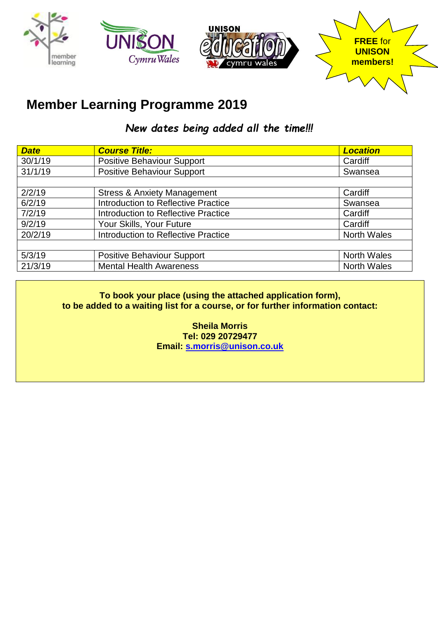

## **Member Learning Programme 2019**

*New dates being added all the time!!!*

| <b>Date</b> | <b>Course Title:</b>                       | <b>Location</b>    |
|-------------|--------------------------------------------|--------------------|
| 30/1/19     | <b>Positive Behaviour Support</b>          | Cardiff            |
| 31/1/19     | <b>Positive Behaviour Support</b>          | Swansea            |
|             |                                            |                    |
| 2/2/19      | <b>Stress &amp; Anxiety Management</b>     | Cardiff            |
| 6/2/19      | <b>Introduction to Reflective Practice</b> | Swansea            |
| 7/2/19      | <b>Introduction to Reflective Practice</b> | Cardiff            |
| 9/2/19      | Your Skills, Your Future                   | Cardiff            |
| 20/2/19     | <b>Introduction to Reflective Practice</b> | <b>North Wales</b> |
|             |                                            |                    |
| 5/3/19      | <b>Positive Behaviour Support</b>          | <b>North Wales</b> |
| 21/3/19     | <b>Mental Health Awareness</b>             | <b>North Wales</b> |

**To book your place (using the attached application form), to be added to a waiting list for a course, or for further information contact:**

> **Sheila Morris Tel: 029 20729477 Email: [s.morris@unison.co.uk](mailto:s.morris@unison.co.uk)**